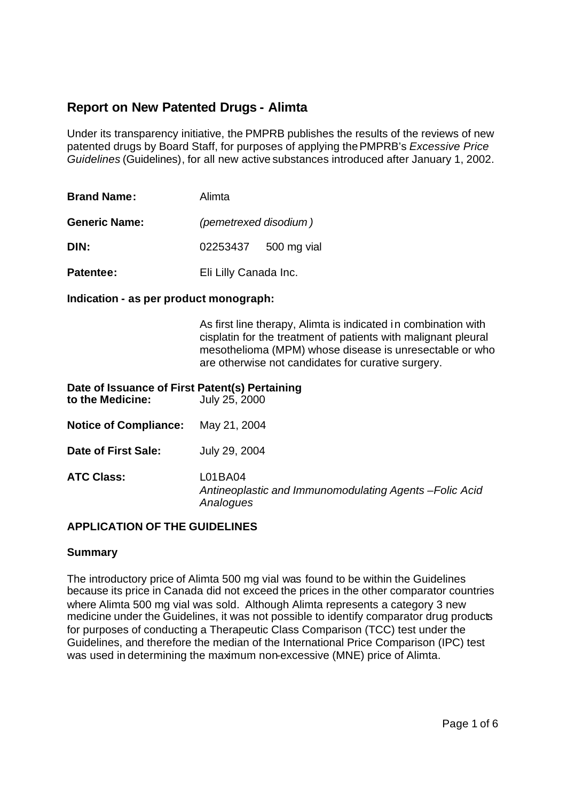# **Report on New Patented Drugs - Alimta**

Under its transparency initiative, the PMPRB publishes the results of the reviews of new patented drugs by Board Staff, for purposes of applying the PMPRB's *Excessive Price Guidelines* (Guidelines), for all new active substances introduced after January 1, 2002.

| <b>Brand Name:</b>   | Alimta   |                       |  |
|----------------------|----------|-----------------------|--|
| <b>Generic Name:</b> |          | (pemetrexed disodium) |  |
| DIN:                 | 02253437 | 500 mg vial           |  |
| <b>Patentee:</b>     |          | Eli Lilly Canada Inc. |  |

#### **Indication - as per product monograph:**

As first line therapy, Alimta is indicated in combination with cisplatin for the treatment of patients with malignant pleural mesothelioma (MPM) whose disease is unresectable or who are otherwise not candidates for curative surgery.

| Date of Issuance of First Patent(s) Pertaining<br>to the Medicine: | July 25, 2000                                                                   |
|--------------------------------------------------------------------|---------------------------------------------------------------------------------|
| <b>Notice of Compliance:</b>                                       | May 21, 2004                                                                    |
| Date of First Sale:                                                | July 29, 2004                                                                   |
| <b>ATC Class:</b>                                                  | L01BA04<br>Antineoplastic and Immunomodulating Agents - Folic Acid<br>Analogues |

### **APPLICATION OF THE GUIDELINES**

#### **Summary**

The introductory price of Alimta 500 mg vial was found to be within the Guidelines because its price in Canada did not exceed the prices in the other comparator countries where Alimta 500 mg vial was sold. Although Alimta represents a category 3 new medicine under the Guidelines, it was not possible to identify comparator drug products for purposes of conducting a Therapeutic Class Comparison (TCC) test under the Guidelines, and therefore the median of the International Price Comparison (IPC) test was used in determining the maximum non-excessive (MNE) price of Alimta.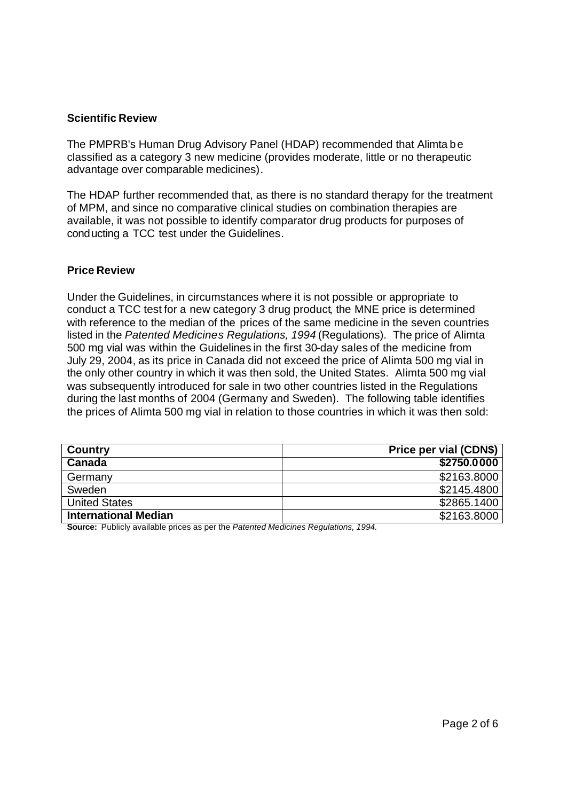### **Scientific Review**

The PMPRB's Human Drug Advisory Panel (HDAP) recommended that Alimta be classified as a category 3 new medicine (provides moderate, little or no therapeutic advantage over comparable medicines).

The HDAP further recommended that, as there is no standard therapy for the treatment of MPM, and since no comparative clinical studies on combination therapies are available, it was not possible to identify comparator drug products for purposes of conducting a TCC test under the Guidelines.

#### **Price Review**

Under the Guidelines, in circumstances where it is not possible or appropriate to conduct a TCC test for a new category 3 drug product, the MNE price is determined with reference to the median of the prices of the same medicine in the seven countries listed in the *Patented Medicines Regulations, 1994* (Regulations). The price of Alimta 500 mg vial was within the Guidelines in the first 30-day sales of the medicine from July 29, 2004, as its price in Canada did not exceed the price of Alimta 500 mg vial in the only other country in which it was then sold, the United States. Alimta 500 mg vial was subsequently introduced for sale in two other countries listed in the Regulations during the last months of 2004 (Germany and Sweden). The following table identifies the prices of Alimta 500 mg vial in relation to those countries in which it was then sold:

| Country                     | Price per vial (CDN\$) |
|-----------------------------|------------------------|
| Canada                      | \$2750.0000            |
| Germany                     | \$2163.8000            |
| Sweden                      | \$2145.4800            |
| <b>United States</b>        | \$2865.1400            |
| <b>International Median</b> | \$2163.8000            |

**Source:** Publicly available prices as per the *Patented Medicines Regulations, 1994.*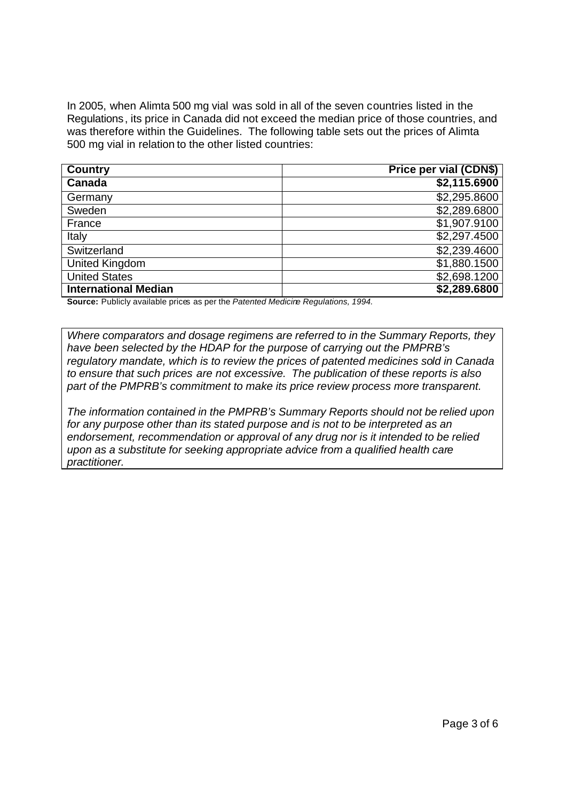In 2005, when Alimta 500 mg vial was sold in all of the seven countries listed in the Regulations, its price in Canada did not exceed the median price of those countries, and was therefore within the Guidelines. The following table sets out the prices of Alimta 500 mg vial in relation to the other listed countries:

| <b>Country</b>              | Price per vial (CDN\$) |
|-----------------------------|------------------------|
| Canada                      | \$2,115.6900           |
| Germany                     | \$2,295.8600           |
| Sweden                      | \$2,289.6800           |
| France                      | \$1,907.9100           |
| Italy                       | \$2,297.4500           |
| Switzerland                 | \$2,239.4600           |
| <b>United Kingdom</b>       | \$1,880.1500           |
| <b>United States</b>        | \$2,698.1200           |
| <b>International Median</b> | \$2,289.6800           |

**Source:** Publicly available prices as per the *Patented Medicine Regulations, 1994.*

*Where comparators and dosage regimens are referred to in the Summary Reports, they have been selected by the HDAP for the purpose of carrying out the PMPRB's regulatory mandate, which is to review the prices of patented medicines sold in Canada to ensure that such prices are not excessive. The publication of these reports is also part of the PMPRB's commitment to make its price review process more transparent.*

*The information contained in the PMPRB's Summary Reports should not be relied upon for any purpose other than its stated purpose and is not to be interpreted as an endorsement, recommendation or approval of any drug nor is it intended to be relied upon as a substitute for seeking appropriate advice from a qualified health care practitioner.*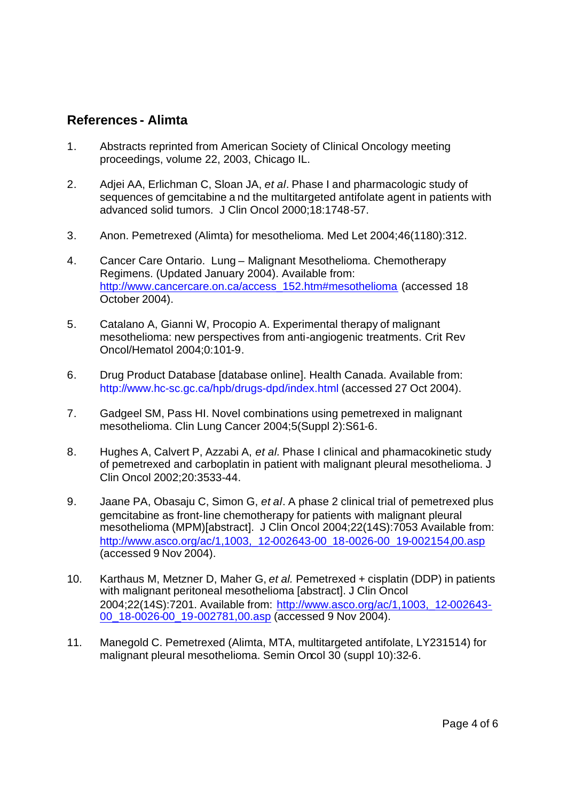## **References - Alimta**

- 1. Abstracts reprinted from American Society of Clinical Oncology meeting proceedings, volume 22, 2003, Chicago IL.
- 2. Adjei AA, Erlichman C, Sloan JA, *et al*. Phase I and pharmacologic study of sequences of gemcitabine a nd the multitargeted antifolate agent in patients with advanced solid tumors. J Clin Oncol 2000;18:1748-57.
- 3. Anon. Pemetrexed (Alimta) for mesothelioma. Med Let 2004;46(1180):312.
- 4. Cancer Care Ontario. Lung Malignant Mesothelioma. Chemotherapy Regimens. (Updated January 2004). Available from: http://www.cancercare.on.ca/access\_152.htm#mesothelioma (accessed 18 October 2004).
- 5. Catalano A, Gianni W, Procopio A. Experimental therapy of malignant mesothelioma: new perspectives from anti-angiogenic treatments. Crit Rev Oncol/Hematol 2004;0:101-9.
- 6. Drug Product Database [database online]. Health Canada. Available from: http://www.hc-sc.gc.ca/hpb/drugs-dpd/index.html (accessed 27 Oct 2004).
- 7. Gadgeel SM, Pass HI. Novel combinations using pemetrexed in malignant mesothelioma. Clin Lung Cancer 2004;5(Suppl 2):S61-6.
- 8. Hughes A, Calvert P, Azzabi A, *et al.* Phase I clinical and pharmacokinetic study of pemetrexed and carboplatin in patient with malignant pleural mesothelioma. J Clin Oncol 2002;20:3533-44.
- 9. Jaane PA, Obasaju C, Simon G, *et al*. A phase 2 clinical trial of pemetrexed plus gemcitabine as front-line chemotherapy for patients with malignant pleural mesothelioma (MPM)[abstract]. J Clin Oncol 2004;22(14S):7053 Available from: http://www.asco.org/ac/1,1003, 12-002643-00\_18-0026-00\_19-002154,00.asp (accessed 9 Nov 2004).
- 10. Karthaus M, Metzner D, Maher G, *et al.* Pemetrexed + cisplatin (DDP) in patients with malignant peritoneal mesothelioma [abstract]. J Clin Oncol 2004;22(14S):7201. Available from: http://www.asco.org/ac/1,1003,\_12-002643- 00\_18-0026-00\_19-002781,00.asp (accessed 9 Nov 2004).
- 11. Manegold C. Pemetrexed (Alimta, MTA, multitargeted antifolate, LY231514) for malignant pleural mesothelioma. Semin Oncol 30 (suppl 10):32-6.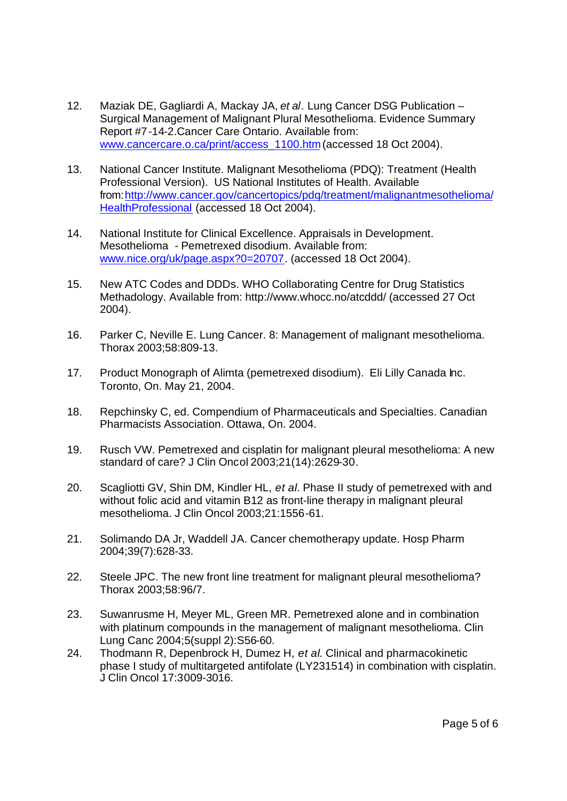- 12. Maziak DE, Gagliardi A, Mackay JA, *et al*. Lung Cancer DSG Publication Surgical Management of Malignant Plural Mesothelioma. Evidence Summary Report #7-14-2.Cancer Care Ontario. Available from: www.cancercare.o.ca/print/access\_1100.htm (accessed 18 Oct 2004).
- 13. National Cancer Institute. Malignant Mesothelioma (PDQ): Treatment (Health Professional Version). US National Institutes of Health. Available from: http://www.cancer.gov/cancertopics/pdq/treatment/malignantmesothelioma/ HealthProfessional (accessed 18 Oct 2004).
- 14. National Institute for Clinical Excellence. Appraisals in Development. Mesothelioma - Pemetrexed disodium. Available from: www.nice.org/uk/page.aspx?0=20707. (accessed 18 Oct 2004).
- 15. New ATC Codes and DDDs. WHO Collaborating Centre for Drug Statistics Methadology. Available from: http://www.whocc.no/atcddd/ (accessed 27 Oct 2004).
- 16. Parker C, Neville E. Lung Cancer. 8: Management of malignant mesothelioma. Thorax 2003;58:809-13.
- 17. Product Monograph of Alimta (pemetrexed disodium). Eli Lilly Canada Inc. Toronto, On. May 21, 2004.
- 18. Repchinsky C, ed. Compendium of Pharmaceuticals and Specialties. Canadian Pharmacists Association. Ottawa, On. 2004.
- 19. Rusch VW. Pemetrexed and cisplatin for malignant pleural mesothelioma: A new standard of care? J Clin Oncol 2003;21(14):2629-30.
- 20. Scagliotti GV, Shin DM, Kindler HL, *et al*. Phase II study of pemetrexed with and without folic acid and vitamin B12 as front-line therapy in malignant pleural mesothelioma. J Clin Oncol 2003;21:1556-61.
- 21. Solimando DA Jr, Waddell JA. Cancer chemotherapy update. Hosp Pharm 2004;39(7):628-33.
- 22. Steele JPC. The new front line treatment for malignant pleural mesothelioma? Thorax 2003;58:96/7.
- 23. Suwanrusme H, Meyer ML, Green MR. Pemetrexed alone and in combination with platinum compounds in the management of malignant mesothelioma. Clin Lung Canc 2004;5(suppl 2):S56-60.
- 24. Thodmann R, Depenbrock H, Dumez H, *et al*. Clinical and pharmacokinetic phase I study of multitargeted antifolate (LY231514) in combination with cisplatin. J Clin Oncol 17:3009-3016.